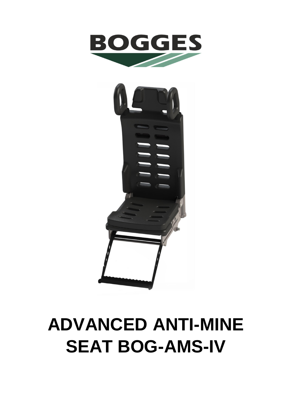



# **ADVANCED ANTI-MINE SEAT BOG-AMS-IV**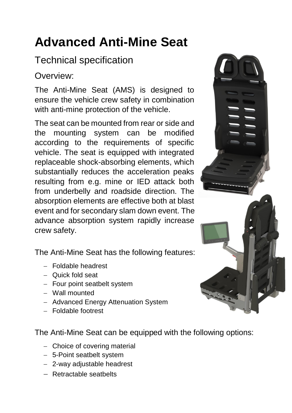## **Advanced Anti-Mine Seat**

#### Technical specification

Overview:

The Anti-Mine Seat (AMS) is designed to ensure the vehicle crew safety in combination with anti-mine protection of the vehicle.

The seat can be mounted from rear or side and the mounting system can be modified according to the requirements of specific vehicle. The seat is equipped with integrated replaceable shock-absorbing elements, which substantially reduces the acceleration peaks resulting from e.g. mine or IED attack both from underbelly and roadside direction. The absorption elements are effective both at blast event and for secondary slam down event. The advance absorption system rapidly increase crew safety.

The Anti-Mine Seat has the following features:

- Foldable headrest
- Quick fold seat
- Four point seatbelt system
- Wall mounted
- Advanced Energy Attenuation System
- Foldable footrest

The Anti-Mine Seat can be equipped with the following options:

- Choice of covering material
- 5-Point seatbelt system
- 2-way adjustable headrest
- Retractable seatbelts

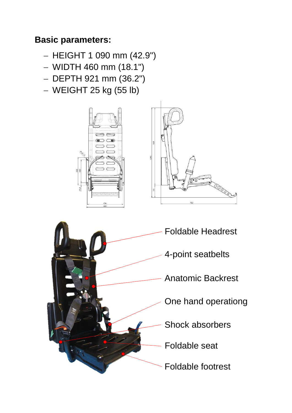#### **Basic parameters:**

- $-$  HEIGHT 1 090 mm (42.9")
- $-$  WIDTH 460 mm (18.1")
- DEPTH 921 mm (36.2")
- WEIGHT 25 kg (55 lb)